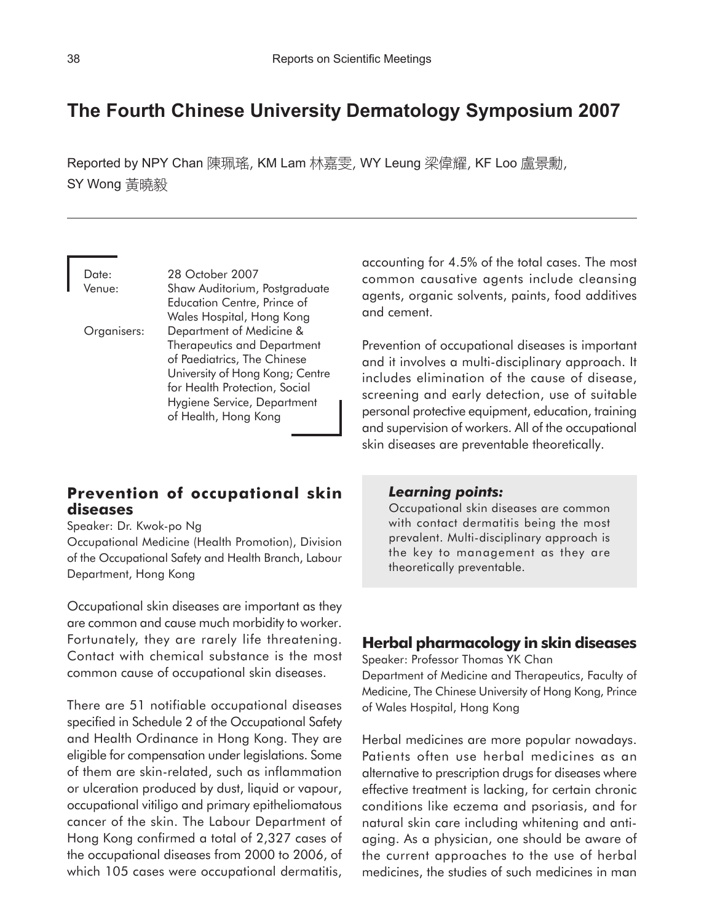# **The Fourth Chinese University Dermatology Symposium 2007**

Reported by NPY Chan 陳珮瑤, KM Lam 林嘉雯, WY Leung 梁偉耀, KF Loo 盧景勳, SY Wong 黃曉毅

Date: 28 October 2007 Venue: Shaw Auditorium, Postgraduate Education Centre, Prince of Wales Hospital, Hong Kong Organisers: Department of Medicine & Therapeutics and Department of Paediatrics, The Chinese University of Hong Kong; Centre for Health Protection, Social Hygiene Service, Department of Health, Hong Kong

# **Prevention of occupational skin diseases**

Speaker: Dr. Kwok-po Ng

Occupational Medicine (Health Promotion), Division of the Occupational Safety and Health Branch, Labour Department, Hong Kong

Occupational skin diseases are important as they are common and cause much morbidity to worker. Fortunately, they are rarely life threatening. Contact with chemical substance is the most common cause of occupational skin diseases.

There are 51 notifiable occupational diseases specified in Schedule 2 of the Occupational Safety and Health Ordinance in Hong Kong. They are eligible for compensation under legislations. Some of them are skin-related, such as inflammation or ulceration produced by dust, liquid or vapour, occupational vitiligo and primary epitheliomatous cancer of the skin. The Labour Department of Hong Kong confirmed a total of 2,327 cases of the occupational diseases from 2000 to 2006, of which 105 cases were occupational dermatitis,

accounting for 4.5% of the total cases. The most common causative agents include cleansing agents, organic solvents, paints, food additives and cement.

Prevention of occupational diseases is important and it involves a multi-disciplinary approach. It includes elimination of the cause of disease, screening and early detection, use of suitable personal protective equipment, education, training and supervision of workers. All of the occupational skin diseases are preventable theoretically.

## *Learning points:*

Occupational skin diseases are common with contact dermatitis being the most prevalent. Multi-disciplinary approach is the key to management as they are theoretically preventable.

## **Herbal pharmacology in skin diseases**

Speaker: Professor Thomas YK Chan Department of Medicine and Therapeutics, Faculty of Medicine, The Chinese University of Hong Kong, Prince of Wales Hospital, Hong Kong

Herbal medicines are more popular nowadays. Patients often use herbal medicines as an alternative to prescription drugs for diseases where effective treatment is lacking, for certain chronic conditions like eczema and psoriasis, and for natural skin care including whitening and antiaging. As a physician, one should be aware of the current approaches to the use of herbal medicines, the studies of such medicines in man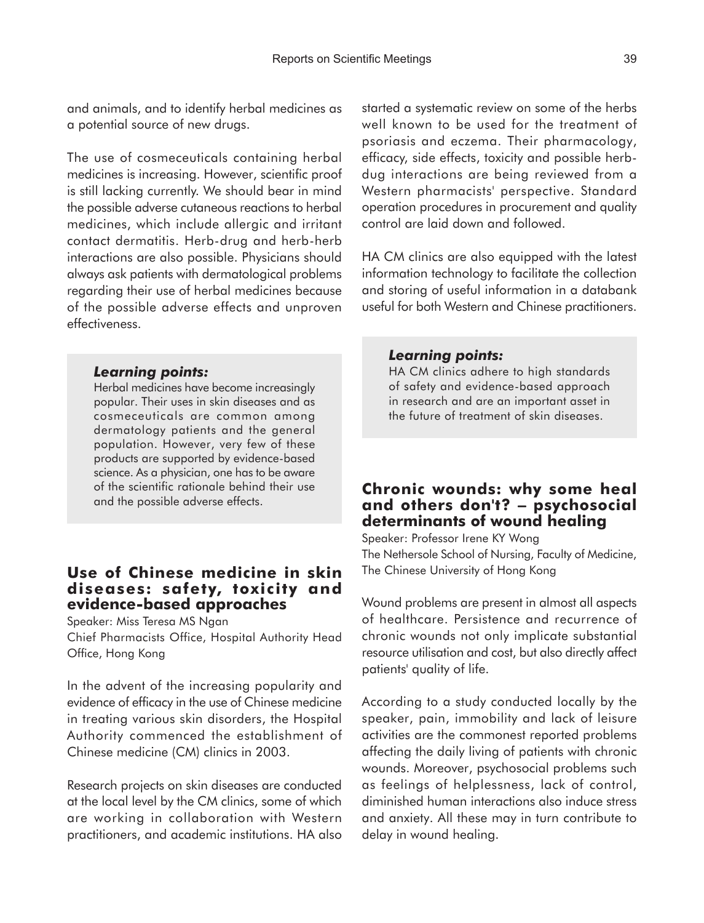and animals, and to identify herbal medicines as a potential source of new drugs.

The use of cosmeceuticals containing herbal medicines is increasing. However, scientific proof is still lacking currently. We should bear in mind the possible adverse cutaneous reactions to herbal medicines, which include allergic and irritant contact dermatitis. Herb-drug and herb-herb interactions are also possible. Physicians should always ask patients with dermatological problems regarding their use of herbal medicines because of the possible adverse effects and unproven effectiveness.

#### *Learning points:*

Herbal medicines have become increasingly popular. Their uses in skin diseases and as cosmeceuticals are common among dermatology patients and the general population. However, very few of these products are supported by evidence-based science. As a physician, one has to be aware of the scientific rationale behind their use and the possible adverse effects.

# **Use of Chinese medicine in skin diseases: safety, toxicity and evidence-based approaches**

Speaker: Miss Teresa MS Ngan

Chief Pharmacists Office, Hospital Authority Head Office, Hong Kong

In the advent of the increasing popularity and evidence of efficacy in the use of Chinese medicine in treating various skin disorders, the Hospital Authority commenced the establishment of Chinese medicine (CM) clinics in 2003.

Research projects on skin diseases are conducted at the local level by the CM clinics, some of which are working in collaboration with Western practitioners, and academic institutions. HA also started a systematic review on some of the herbs well known to be used for the treatment of psoriasis and eczema. Their pharmacology, efficacy, side effects, toxicity and possible herbdug interactions are being reviewed from a Western pharmacists' perspective. Standard operation procedures in procurement and quality control are laid down and followed.

HA CM clinics are also equipped with the latest information technology to facilitate the collection and storing of useful information in a databank useful for both Western and Chinese practitioners.

## *Learning points:*

HA CM clinics adhere to high standards of safety and evidence-based approach in research and are an important asset in the future of treatment of skin diseases.

# **Chronic wounds: why some heal and others don't?** − **psychosocial determinants of wound healing**

Speaker: Professor Irene KY Wong The Nethersole School of Nursing, Faculty of Medicine, The Chinese University of Hong Kong

Wound problems are present in almost all aspects of healthcare. Persistence and recurrence of chronic wounds not only implicate substantial resource utilisation and cost, but also directly affect patients' quality of life.

According to a study conducted locally by the speaker, pain, immobility and lack of leisure activities are the commonest reported problems affecting the daily living of patients with chronic wounds. Moreover, psychosocial problems such as feelings of helplessness, lack of control, diminished human interactions also induce stress and anxiety. All these may in turn contribute to delay in wound healing.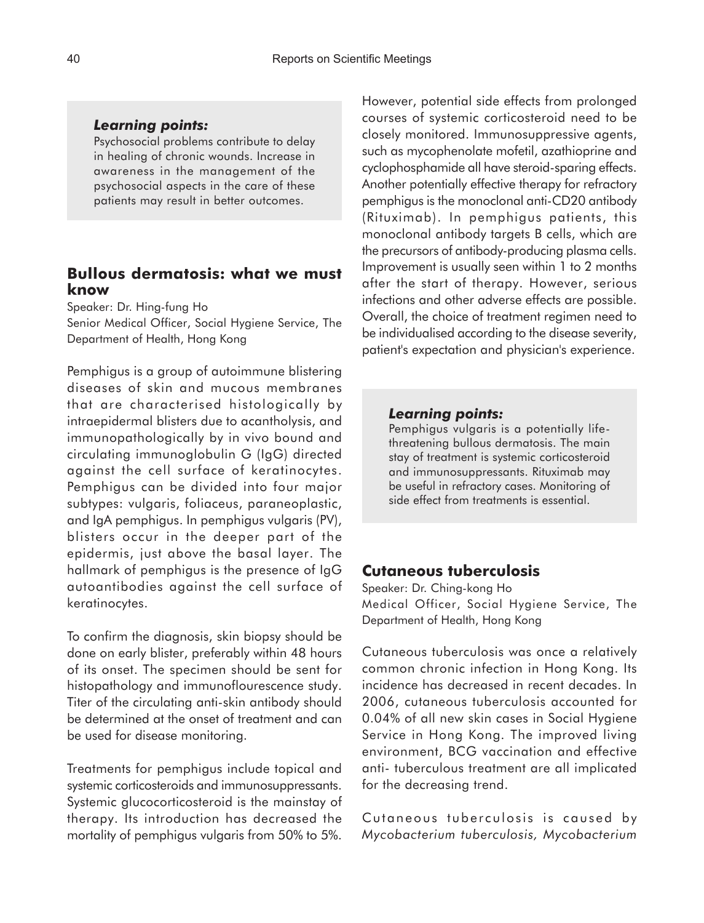## *Learning points:*

Psychosocial problems contribute to delay in healing of chronic wounds. Increase in awareness in the management of the psychosocial aspects in the care of these patients may result in better outcomes.

## **Bullous dermatosis: what we must know**

Speaker: Dr. Hing-fung Ho

Senior Medical Officer, Social Hygiene Service, The Department of Health, Hong Kong

Pemphigus is a group of autoimmune blistering diseases of skin and mucous membranes that are characterised histologically by intraepidermal blisters due to acantholysis, and immunopathologically by in vivo bound and circulating immunoglobulin G (IgG) directed against the cell surface of keratinocytes. Pemphigus can be divided into four major subtypes: vulgaris, foliaceus, paraneoplastic, and IgA pemphigus. In pemphigus vulgaris (PV), blisters occur in the deeper part of the epidermis, just above the basal layer. The hallmark of pemphigus is the presence of IgG autoantibodies against the cell surface of keratinocytes.

To confirm the diagnosis, skin biopsy should be done on early blister, preferably within 48 hours of its onset. The specimen should be sent for histopathology and immunoflourescence study. Titer of the circulating anti-skin antibody should be determined at the onset of treatment and can be used for disease monitoring.

Treatments for pemphigus include topical and systemic corticosteroids and immunosuppressants. Systemic glucocorticosteroid is the mainstay of therapy. Its introduction has decreased the mortality of pemphigus vulgaris from 50% to 5%.

However, potential side effects from prolonged courses of systemic corticosteroid need to be closely monitored. Immunosuppressive agents, such as mycophenolate mofetil, azathioprine and cyclophosphamide all have steroid-sparing effects. Another potentially effective therapy for refractory pemphigus is the monoclonal anti-CD20 antibody (Rituximab). In pemphigus patients, this monoclonal antibody targets B cells, which are the precursors of antibody-producing plasma cells. Improvement is usually seen within 1 to 2 months after the start of therapy. However, serious infections and other adverse effects are possible. Overall, the choice of treatment regimen need to be individualised according to the disease severity, patient's expectation and physician's experience.

#### *Learning points:*

Pemphigus vulgaris is a potentially lifethreatening bullous dermatosis. The main stay of treatment is systemic corticosteroid and immunosuppressants. Rituximab may be useful in refractory cases. Monitoring of side effect from treatments is essential.

## **Cutaneous tuberculosis**

Speaker: Dr. Ching-kong Ho Medical Officer, Social Hygiene Service, The Department of Health, Hong Kong

Cutaneous tuberculosis was once a relatively common chronic infection in Hong Kong. Its incidence has decreased in recent decades. In 2006, cutaneous tuberculosis accounted for 0.04% of all new skin cases in Social Hygiene Service in Hong Kong. The improved living environment, BCG vaccination and effective anti- tuberculous treatment are all implicated for the decreasing trend.

Cutaneous tuberculosis is caused by *Mycobacterium tuberculosis, Mycobacterium*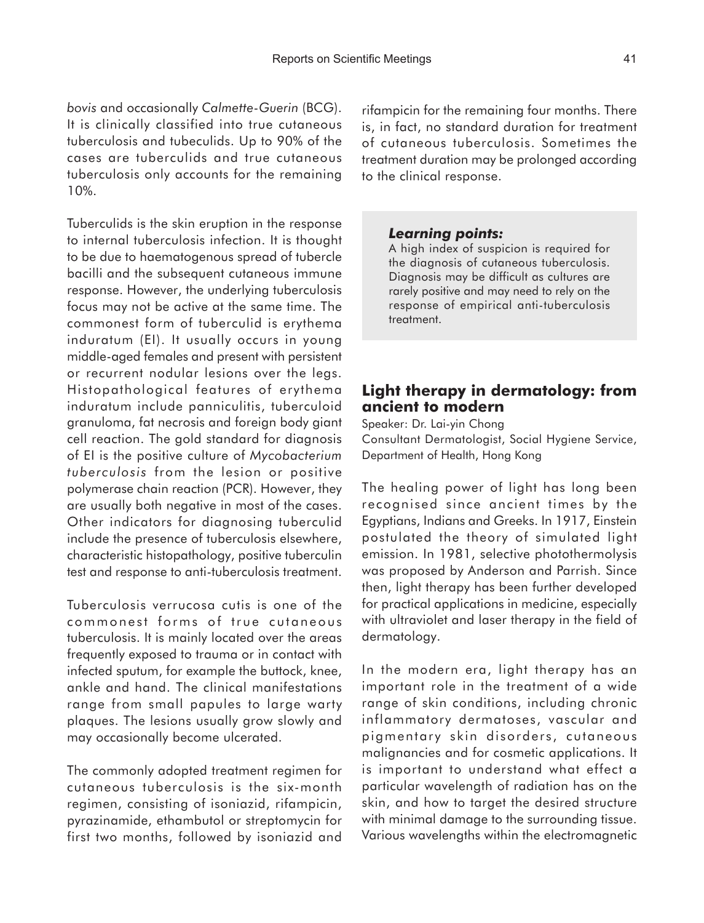*bovis* and occasionally *Calmette-Guerin* (BCG). It is clinically classified into true cutaneous tuberculosis and tubeculids. Up to 90% of the cases are tuberculids and true cutaneous tuberculosis only accounts for the remaining 10%.

Tuberculids is the skin eruption in the response to internal tuberculosis infection. It is thought to be due to haematogenous spread of tubercle bacilli and the subsequent cutaneous immune response. However, the underlying tuberculosis focus may not be active at the same time. The commonest form of tuberculid is erythema induratum (EI). It usually occurs in young middle-aged females and present with persistent or recurrent nodular lesions over the legs. Histopathological features of erythema induratum include panniculitis, tuberculoid granuloma, fat necrosis and foreign body giant cell reaction. The gold standard for diagnosis of EI is the positive culture of *Mycobacterium tuberculosis* from the lesion or positive polymerase chain reaction (PCR). However, they are usually both negative in most of the cases. Other indicators for diagnosing tuberculid include the presence of tuberculosis elsewhere, characteristic histopathology, positive tuberculin test and response to anti-tuberculosis treatment.

Tuberculosis verrucosa cutis is one of the commonest forms of true cutaneous tuberculosis. It is mainly located over the areas frequently exposed to trauma or in contact with infected sputum, for example the buttock, knee, ankle and hand. The clinical manifestations range from small papules to large warty plaques. The lesions usually grow slowly and may occasionally become ulcerated.

The commonly adopted treatment regimen for cutaneous tuberculosis is the six-month regimen, consisting of isoniazid, rifampicin, pyrazinamide, ethambutol or streptomycin for first two months, followed by isoniazid and

rifampicin for the remaining four months. There is, in fact, no standard duration for treatment of cutaneous tuberculosis. Sometimes the treatment duration may be prolonged according to the clinical response.

#### *Learning points:*

A high index of suspicion is required for the diagnosis of cutaneous tuberculosis. Diagnosis may be difficult as cultures are rarely positive and may need to rely on the response of empirical anti-tuberculosis treatment.

# **Light therapy in dermatology: from ancient to modern**

Speaker: Dr. Lai-yin Chong Consultant Dermatologist, Social Hygiene Service, Department of Health, Hong Kong

The healing power of light has long been recognised since ancient times by the Egyptians, Indians and Greeks. In 1917, Einstein postulated the theory of simulated light emission. In 1981, selective photothermolysis was proposed by Anderson and Parrish. Since then, light therapy has been further developed for practical applications in medicine, especially with ultraviolet and laser therapy in the field of dermatology.

In the modern era, light therapy has an important role in the treatment of a wide range of skin conditions, including chronic inflammatory dermatoses, vascular and pigmentary skin disorders, cutaneous malignancies and for cosmetic applications. It is important to understand what effect a particular wavelength of radiation has on the skin, and how to target the desired structure with minimal damage to the surrounding tissue. Various wavelengths within the electromagnetic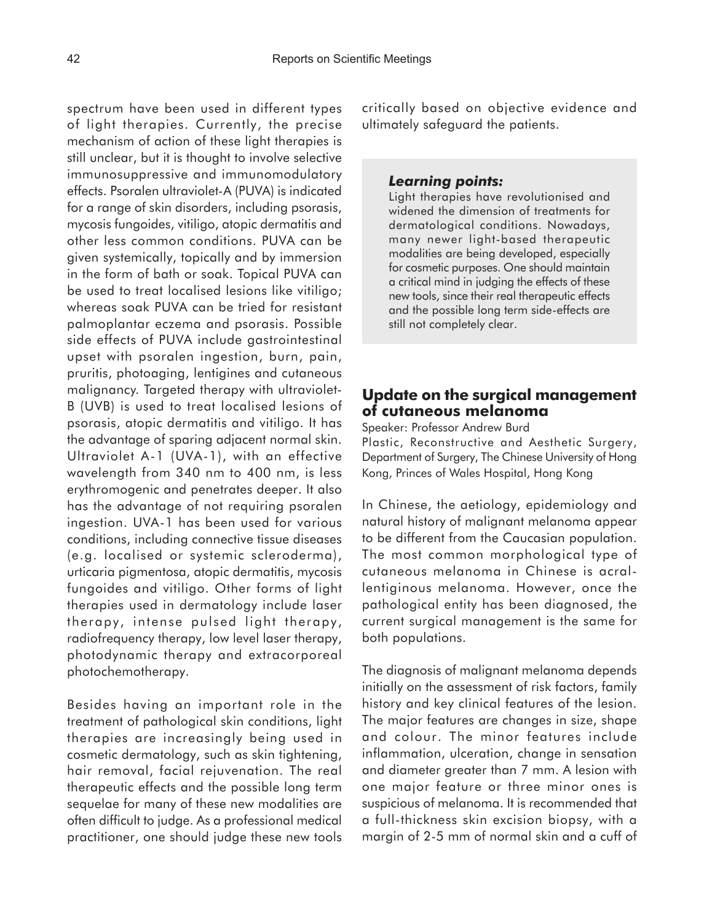spectrum have been used in different types of light therapies. Currently, the precise mechanism of action of these light therapies is still unclear, but it is thought to involve selective immunosuppressive and immunomodulatory effects. Psoralen ultraviolet-A (PUVA) is indicated for a range of skin disorders, including psorasis, mycosis fungoides, vitiligo, atopic dermatitis and other less common conditions. PUVA can be given systemically, topically and by immersion in the form of bath or soak. Topical PUVA can be used to treat localised lesions like vitiligo; whereas soak PUVA can be tried for resistant palmoplantar eczema and psorasis. Possible side effects of PUVA include gastrointestinal upset with psoralen ingestion, burn, pain, pruritis, photoaging, lentigines and cutaneous malignancy. Targeted therapy with ultraviolet-B (UVB) is used to treat localised lesions of psorasis, atopic dermatitis and vitiligo. It has the advantage of sparing adjacent normal skin. Ultraviolet A-1 (UVA-1), with an effective wavelength from 340 nm to 400 nm, is less erythromogenic and penetrates deeper. It also has the advantage of not requiring psoralen ingestion. UVA-1 has been used for various conditions, including connective tissue diseases (e.g. localised or systemic scleroderma), urticaria pigmentosa, atopic dermatitis, mycosis fungoides and vitiligo. Other forms of light therapies used in dermatology include laser therapy, intense pulsed light therapy, radiofrequency therapy, low level laser therapy, photodynamic therapy and extracorporeal photochemotherapy.

Besides having an important role in the treatment of pathological skin conditions, light therapies are increasingly being used in cosmetic dermatology, such as skin tightening, hair removal, facial rejuvenation. The real therapeutic effects and the possible long term sequelae for many of these new modalities are often difficult to judge. As a professional medical practitioner, one should judge these new tools

critically based on objective evidence and ultimately safeguard the patients.

## *Learning points:*

Light therapies have revolutionised and widened the dimension of treatments for dermatological conditions. Nowadays, many newer light-based therapeutic modalities are being developed, especially for cosmetic purposes. One should maintain a critical mind in judging the effects of these new tools, since their real therapeutic effects and the possible long term side-effects are still not completely clear.

# **Update on the surgical management of cutaneous melanoma**

Speaker: Professor Andrew Burd Plastic, Reconstructive and Aesthetic Surgery, Department of Surgery, The Chinese University of Hong Kong, Princes of Wales Hospital, Hong Kong

In Chinese, the aetiology, epidemiology and natural history of malignant melanoma appear to be different from the Caucasian population. The most common morphological type of cutaneous melanoma in Chinese is acrallentiginous melanoma. However, once the pathological entity has been diagnosed, the current surgical management is the same for both populations.

The diagnosis of malignant melanoma depends initially on the assessment of risk factors, family history and key clinical features of the lesion. The major features are changes in size, shape and colour. The minor features include inflammation, ulceration, change in sensation and diameter greater than 7 mm. A lesion with one major feature or three minor ones is suspicious of melanoma. It is recommended that a full-thickness skin excision biopsy, with a margin of 2-5 mm of normal skin and a cuff of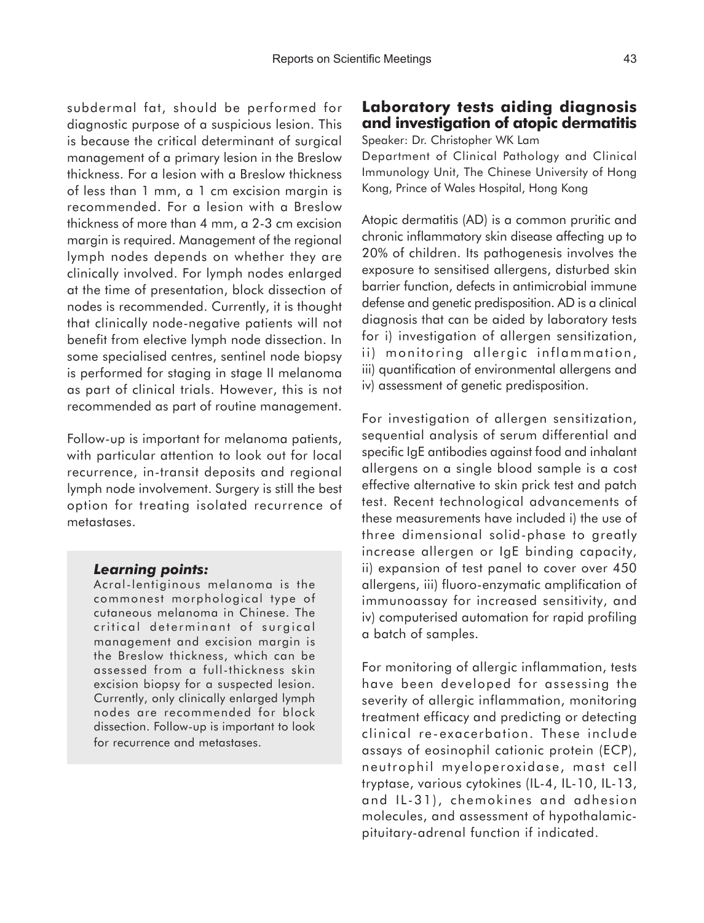subdermal fat, should be performed for diagnostic purpose of a suspicious lesion. This is because the critical determinant of surgical management of a primary lesion in the Breslow thickness. For a lesion with a Breslow thickness of less than 1 mm, a 1 cm excision margin is recommended. For a lesion with a Breslow thickness of more than 4 mm, a 2-3 cm excision margin is required. Management of the regional lymph nodes depends on whether they are clinically involved. For lymph nodes enlarged at the time of presentation, block dissection of nodes is recommended. Currently, it is thought that clinically node-negative patients will not benefit from elective lymph node dissection. In some specialised centres, sentinel node biopsy is performed for staging in stage II melanoma as part of clinical trials. However, this is not recommended as part of routine management.

Follow-up is important for melanoma patients, with particular attention to look out for local recurrence, in-transit deposits and regional lymph node involvement. Surgery is still the best option for treating isolated recurrence of metastases.

#### *Learning points:*

Acral-lentiginous melanoma is the commonest morphological type of cutaneous melanoma in Chinese. The critical determinant of surgical management and excision margin is the Breslow thickness, which can be assessed from a full-thickness skin excision biopsy for a suspected lesion. Currently, only clinically enlarged lymph nodes are recommended for block dissection. Follow-up is important to look for recurrence and metastases.

# **Laboratory tests aiding diagnosis and investigation of atopic dermatitis**

Speaker: Dr. Christopher WK Lam

Department of Clinical Pathology and Clinical Immunology Unit, The Chinese University of Hong Kong, Prince of Wales Hospital, Hong Kong

Atopic dermatitis (AD) is a common pruritic and chronic inflammatory skin disease affecting up to 20% of children. Its pathogenesis involves the exposure to sensitised allergens, disturbed skin barrier function, defects in antimicrobial immune defense and genetic predisposition. AD is a clinical diagnosis that can be aided by laboratory tests for i) investigation of allergen sensitization, ii) monitoring allergic inflammation, iii) quantification of environmental allergens and iv) assessment of genetic predisposition.

For investigation of allergen sensitization, sequential analysis of serum differential and specific IgE antibodies against food and inhalant allergens on a single blood sample is a cost effective alternative to skin prick test and patch test. Recent technological advancements of these measurements have included i) the use of three dimensional solid-phase to greatly increase allergen or IgE binding capacity, ii) expansion of test panel to cover over 450 allergens, iii) fluoro-enzymatic amplification of immunoassay for increased sensitivity, and iv) computerised automation for rapid profiling a batch of samples.

For monitoring of allergic inflammation, tests have been developed for assessing the severity of allergic inflammation, monitoring treatment efficacy and predicting or detecting clinical re-exacerbation. These include assays of eosinophil cationic protein (ECP), neutrophil myeloperoxidase, mast cell tryptase, various cytokines (IL-4, IL-10, IL-13, and IL-31), chemokines and adhesion molecules, and assessment of hypothalamicpituitary-adrenal function if indicated.